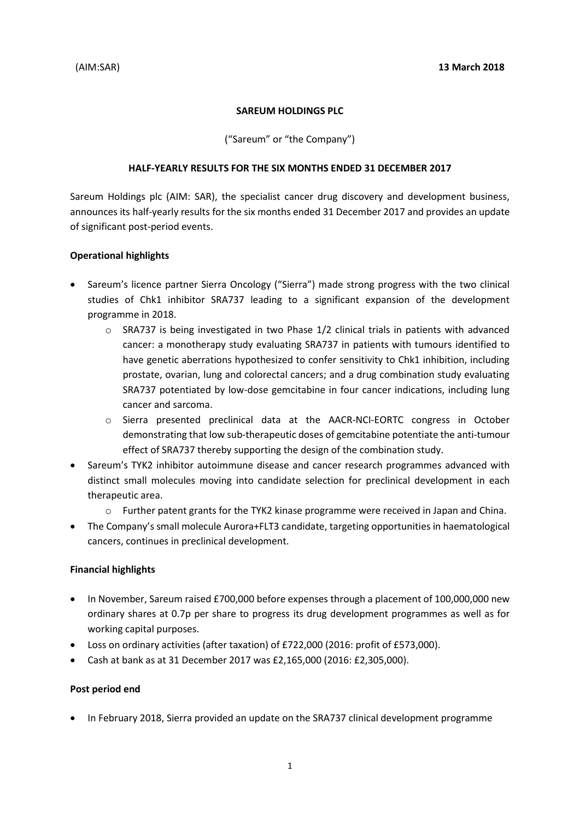#### **SAREUM HOLDINGS PLC**

("Sareum" or "the Company")

#### **HALF-YEARLY RESULTS FOR THE SIX MONTHS ENDED 31 DECEMBER 2017**

Sareum Holdings plc (AIM: SAR), the specialist cancer drug discovery and development business, announces its half-yearly results for the six months ended 31 December 2017 and provides an update of significant post-period events.

## **Operational highlights**

- Sareum's licence partner Sierra Oncology ("Sierra") made strong progress with the two clinical studies of Chk1 inhibitor SRA737 leading to a significant expansion of the development programme in 2018.
	- $\circ$  SRA737 is being investigated in two Phase 1/2 clinical trials in patients with advanced cancer: a monotherapy study evaluating SRA737 in patients with tumours identified to have genetic aberrations hypothesized to confer sensitivity to Chk1 inhibition, including prostate, ovarian, lung and colorectal cancers; and a drug combination study evaluating SRA737 potentiated by low-dose gemcitabine in four cancer indications, including lung cancer and sarcoma.
	- o Sierra presented preclinical data at the AACR-NCI-EORTC congress in October demonstrating that low sub-therapeutic doses of gemcitabine potentiate the anti-tumour effect of SRA737 thereby supporting the design of the combination study.
- Sareum's TYK2 inhibitor autoimmune disease and cancer research programmes advanced with distinct small molecules moving into candidate selection for preclinical development in each therapeutic area.
	- o Further patent grants for the TYK2 kinase programme were received in Japan and China.
- The Company's small molecule Aurora+FLT3 candidate, targeting opportunities in haematological cancers, continues in preclinical development.

## **Financial highlights**

- In November, Sareum raised £700,000 before expenses through a placement of 100,000,000 new ordinary shares at 0.7p per share to progress its drug development programmes as well as for working capital purposes.
- Loss on ordinary activities (after taxation) of £722,000 (2016: profit of £573,000).
- Cash at bank as at 31 December 2017 was £2,165,000 (2016: £2,305,000).

## **Post period end**

• In February 2018, Sierra provided an update on the SRA737 clinical development programme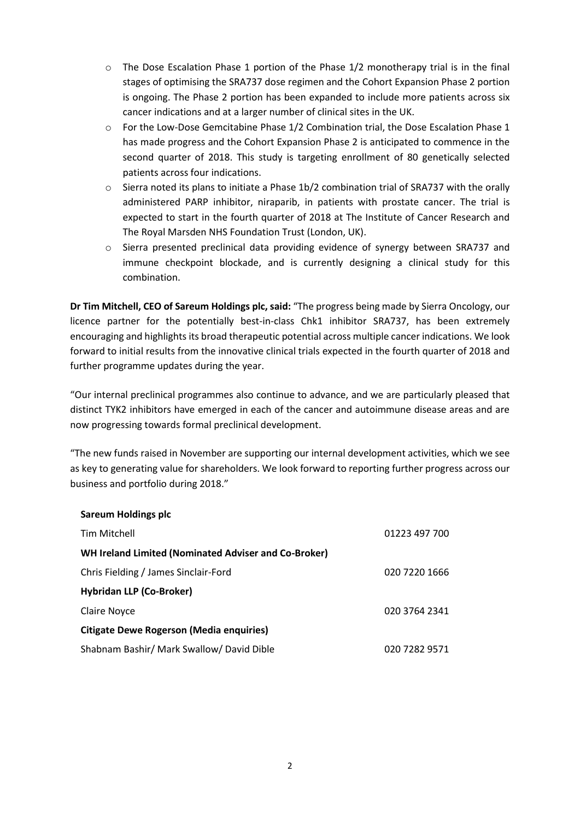- $\circ$  The Dose Escalation Phase 1 portion of the Phase 1/2 monotherapy trial is in the final stages of optimising the SRA737 dose regimen and the Cohort Expansion Phase 2 portion is ongoing. The Phase 2 portion has been expanded to include more patients across six cancer indications and at a larger number of clinical sites in the UK.
- o For the Low-Dose Gemcitabine Phase 1/2 Combination trial, the Dose Escalation Phase 1 has made progress and the Cohort Expansion Phase 2 is anticipated to commence in the second quarter of 2018. This study is targeting enrollment of 80 genetically selected patients across four indications.
- o Sierra noted its plans to initiate a Phase 1b/2 combination trial of SRA737 with the orally administered PARP inhibitor, niraparib, in patients with prostate cancer. The trial is expected to start in the fourth quarter of 2018 at The Institute of Cancer Research and The Royal Marsden NHS Foundation Trust (London, UK).
- o Sierra presented preclinical data providing evidence of synergy between SRA737 and immune checkpoint blockade, and is currently designing a clinical study for this combination.

**Dr Tim Mitchell, CEO of Sareum Holdings plc, said:** "The progress being made by Sierra Oncology, our licence partner for the potentially best-in-class Chk1 inhibitor SRA737, has been extremely encouraging and highlights its broad therapeutic potential across multiple cancer indications. We look forward to initial results from the innovative clinical trials expected in the fourth quarter of 2018 and further programme updates during the year.

"Our internal preclinical programmes also continue to advance, and we are particularly pleased that distinct TYK2 inhibitors have emerged in each of the cancer and autoimmune disease areas and are now progressing towards formal preclinical development.

"The new funds raised in November are supporting our internal development activities, which we see as key to generating value for shareholders. We look forward to reporting further progress across our business and portfolio during 2018."

| <b>Sareum Holdings plc</b>                           |               |
|------------------------------------------------------|---------------|
| Tim Mitchell                                         | 01223 497 700 |
| WH Ireland Limited (Nominated Adviser and Co-Broker) |               |
| Chris Fielding / James Sinclair-Ford                 | 020 7220 1666 |
| <b>Hybridan LLP (Co-Broker)</b>                      |               |
| Claire Novce                                         | 020 3764 2341 |
| <b>Citigate Dewe Rogerson (Media enquiries)</b>      |               |
| Shabnam Bashir/ Mark Swallow/ David Dible            | 020 7282 9571 |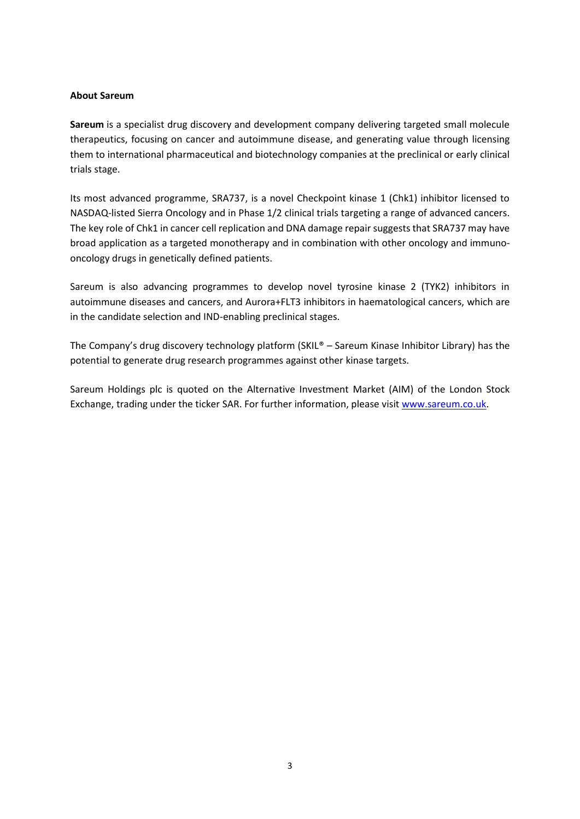#### **About Sareum**

**Sareum** is a specialist drug discovery and development company delivering targeted small molecule therapeutics, focusing on cancer and autoimmune disease, and generating value through licensing them to international pharmaceutical and biotechnology companies at the preclinical or early clinical trials stage.

Its most advanced programme, SRA737, is a novel Checkpoint kinase 1 (Chk1) inhibitor licensed to NASDAQ-listed Sierra Oncology and in Phase 1/2 clinical trials targeting a range of advanced cancers. The key role of Chk1 in cancer cell replication and DNA damage repair suggests that SRA737 may have broad application as a targeted monotherapy and in combination with other oncology and immunooncology drugs in genetically defined patients.

Sareum is also advancing programmes to develop novel tyrosine kinase 2 (TYK2) inhibitors in autoimmune diseases and cancers, and Aurora+FLT3 inhibitors in haematological cancers, which are in the candidate selection and IND-enabling preclinical stages.

The Company's drug discovery technology platform (SKIL® – Sareum Kinase Inhibitor Library) has the potential to generate drug research programmes against other kinase targets.

Sareum Holdings plc is quoted on the Alternative Investment Market (AIM) of the London Stock Exchange, trading under the ticker SAR. For further information, please visit [www.sareum.co.uk.](http://www.sareum.co.uk/)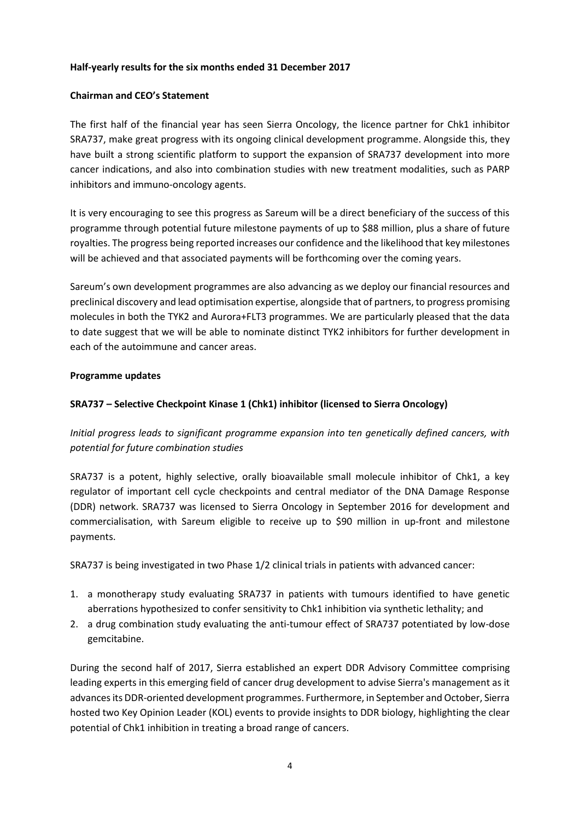#### **Half-yearly results for the six months ended 31 December 2017**

#### **Chairman and CEO's Statement**

The first half of the financial year has seen Sierra Oncology, the licence partner for Chk1 inhibitor SRA737, make great progress with its ongoing clinical development programme. Alongside this, they have built a strong scientific platform to support the expansion of SRA737 development into more cancer indications, and also into combination studies with new treatment modalities, such as PARP inhibitors and immuno-oncology agents.

It is very encouraging to see this progress as Sareum will be a direct beneficiary of the success of this programme through potential future milestone payments of up to \$88 million, plus a share of future royalties. The progress being reported increases our confidence and the likelihood that key milestones will be achieved and that associated payments will be forthcoming over the coming years.

Sareum's own development programmes are also advancing as we deploy our financial resources and preclinical discovery and lead optimisation expertise, alongside that of partners, to progress promising molecules in both the TYK2 and Aurora+FLT3 programmes. We are particularly pleased that the data to date suggest that we will be able to nominate distinct TYK2 inhibitors for further development in each of the autoimmune and cancer areas.

#### **Programme updates**

## **SRA737 – Selective Checkpoint Kinase 1 (Chk1) inhibitor (licensed to Sierra Oncology)**

*Initial progress leads to significant programme expansion into ten genetically defined cancers, with potential for future combination studies* 

SRA737 is a potent, highly selective, orally bioavailable small molecule inhibitor of Chk1, a key regulator of important cell cycle checkpoints and central mediator of the DNA Damage Response (DDR) network. SRA737 was licensed to Sierra Oncology in September 2016 for development and commercialisation, with Sareum eligible to receive up to \$90 million in up-front and milestone payments.

SRA737 is being investigated in two Phase 1/2 clinical trials in patients with advanced cancer:

- 1. a monotherapy study evaluating SRA737 in patients with tumours identified to have genetic aberrations hypothesized to confer sensitivity to Chk1 inhibition via synthetic lethality; and
- 2. a drug combination study evaluating the anti-tumour effect of SRA737 potentiated by low-dose gemcitabine.

During the second half of 2017, Sierra established an expert DDR Advisory Committee comprising leading experts in this emerging field of cancer drug development to advise Sierra's management as it advances its DDR-oriented development programmes. Furthermore, in September and October, Sierra hosted two Key Opinion Leader (KOL) events to provide insights to DDR biology, highlighting the clear potential of Chk1 inhibition in treating a broad range of cancers.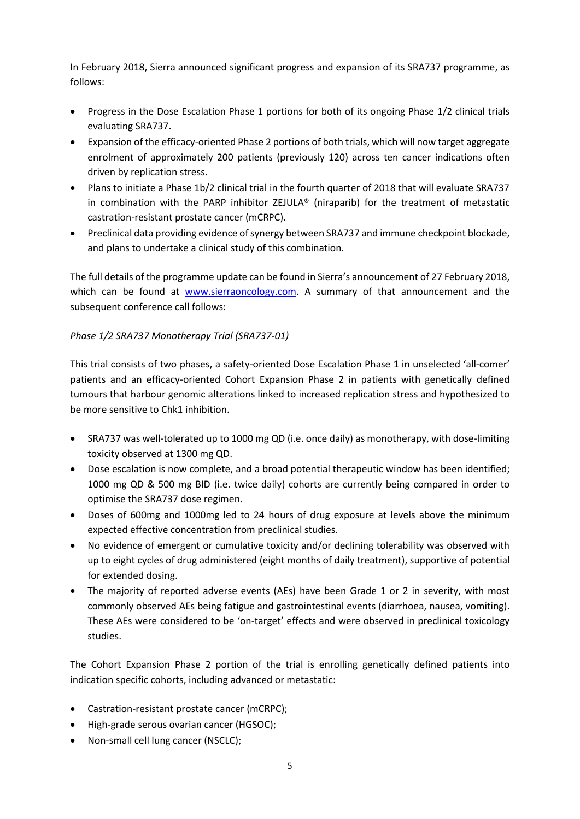In February 2018, Sierra announced significant progress and expansion of its SRA737 programme, as follows:

- Progress in the Dose Escalation Phase 1 portions for both of its ongoing Phase 1/2 clinical trials evaluating SRA737.
- Expansion of the efficacy-oriented Phase 2 portions of both trials, which will now target aggregate enrolment of approximately 200 patients (previously 120) across ten cancer indications often driven by replication stress.
- Plans to initiate a Phase 1b/2 clinical trial in the fourth quarter of 2018 that will evaluate SRA737 in combination with the PARP inhibitor ZEJULA® (niraparib) for the treatment of metastatic castration-resistant prostate cancer (mCRPC).
- Preclinical data providing evidence of synergy between SRA737 and immune checkpoint blockade, and plans to undertake a clinical study of this combination.

The full details of the programme update can be found in Sierra's announcement of 27 February 2018, which can be found at [www.sierraoncology.com.](http://www.sierraoncology.com/) A summary of that announcement and the subsequent conference call follows:

## *Phase 1/2 SRA737 Monotherapy Trial (SRA737-01)*

This trial consists of two phases, a safety-oriented Dose Escalation Phase 1 in unselected 'all-comer' patients and an efficacy-oriented Cohort Expansion Phase 2 in patients with genetically defined tumours that harbour genomic alterations linked to increased replication stress and hypothesized to be more sensitive to Chk1 inhibition.

- SRA737 was well-tolerated up to 1000 mg QD (i.e. once daily) as monotherapy, with dose-limiting toxicity observed at 1300 mg QD.
- Dose escalation is now complete, and a broad potential therapeutic window has been identified; 1000 mg QD & 500 mg BID (i.e. twice daily) cohorts are currently being compared in order to optimise the SRA737 dose regimen.
- Doses of 600mg and 1000mg led to 24 hours of drug exposure at levels above the minimum expected effective concentration from preclinical studies.
- No evidence of emergent or cumulative toxicity and/or declining tolerability was observed with up to eight cycles of drug administered (eight months of daily treatment), supportive of potential for extended dosing.
- The majority of reported adverse events (AEs) have been Grade 1 or 2 in severity, with most commonly observed AEs being fatigue and gastrointestinal events (diarrhoea, nausea, vomiting). These AEs were considered to be 'on-target' effects and were observed in preclinical toxicology studies.

The Cohort Expansion Phase 2 portion of the trial is enrolling genetically defined patients into indication specific cohorts, including advanced or metastatic:

- Castration-resistant prostate cancer (mCRPC);
- High-grade serous ovarian cancer (HGSOC);
- Non-small cell lung cancer (NSCLC);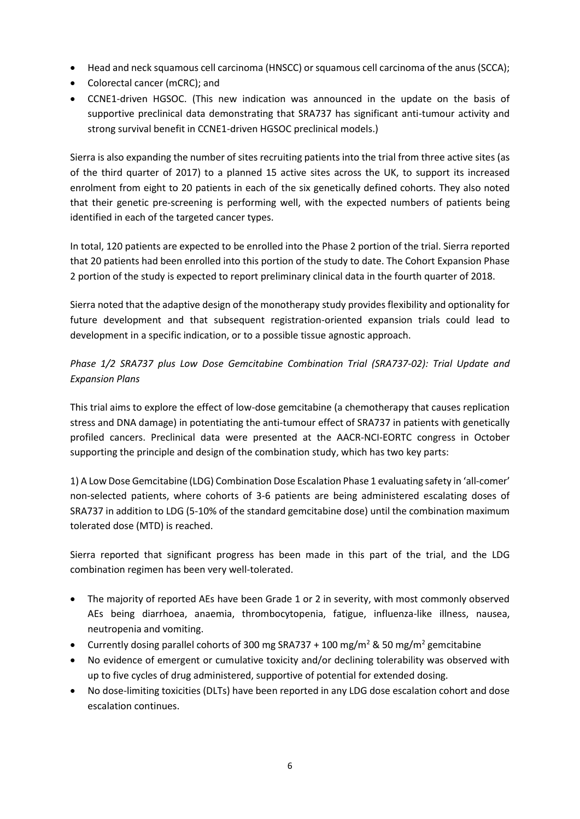- Head and neck squamous cell carcinoma (HNSCC) or squamous cell carcinoma of the anus (SCCA);
- Colorectal cancer (mCRC); and
- CCNE1-driven HGSOC. (This new indication was announced in the update on the basis of supportive preclinical data demonstrating that SRA737 has significant anti-tumour activity and strong survival benefit in CCNE1-driven HGSOC preclinical models.)

Sierra is also expanding the number of sites recruiting patients into the trial from three active sites (as of the third quarter of 2017) to a planned 15 active sites across the UK, to support its increased enrolment from eight to 20 patients in each of the six genetically defined cohorts. They also noted that their genetic pre-screening is performing well, with the expected numbers of patients being identified in each of the targeted cancer types.

In total, 120 patients are expected to be enrolled into the Phase 2 portion of the trial. Sierra reported that 20 patients had been enrolled into this portion of the study to date. The Cohort Expansion Phase 2 portion of the study is expected to report preliminary clinical data in the fourth quarter of 2018.

Sierra noted that the adaptive design of the monotherapy study provides flexibility and optionality for future development and that subsequent registration-oriented expansion trials could lead to development in a specific indication, or to a possible tissue agnostic approach.

# *Phase 1/2 SRA737 plus Low Dose Gemcitabine Combination Trial (SRA737-02): Trial Update and Expansion Plans*

This trial aims to explore the effect of low-dose gemcitabine (a chemotherapy that causes replication stress and DNA damage) in potentiating the anti-tumour effect of SRA737 in patients with genetically profiled cancers. Preclinical data were presented at the AACR-NCI-EORTC congress in October supporting the principle and design of the combination study, which has two key parts:

1) A Low Dose Gemcitabine (LDG) Combination Dose Escalation Phase 1 evaluating safety in 'all-comer' non-selected patients, where cohorts of 3-6 patients are being administered escalating doses of SRA737 in addition to LDG (5-10% of the standard gemcitabine dose) until the combination maximum tolerated dose (MTD) is reached.

Sierra reported that significant progress has been made in this part of the trial, and the LDG combination regimen has been very well-tolerated.

- The majority of reported AEs have been Grade 1 or 2 in severity, with most commonly observed AEs being diarrhoea, anaemia, thrombocytopenia, fatigue, influenza-like illness, nausea, neutropenia and vomiting.
- Currently dosing parallel cohorts of 300 mg SRA737 + 100 mg/m<sup>2</sup> & 50 mg/m<sup>2</sup> gemcitabine
- No evidence of emergent or cumulative toxicity and/or declining tolerability was observed with up to five cycles of drug administered, supportive of potential for extended dosing.
- No dose-limiting toxicities (DLTs) have been reported in any LDG dose escalation cohort and dose escalation continues.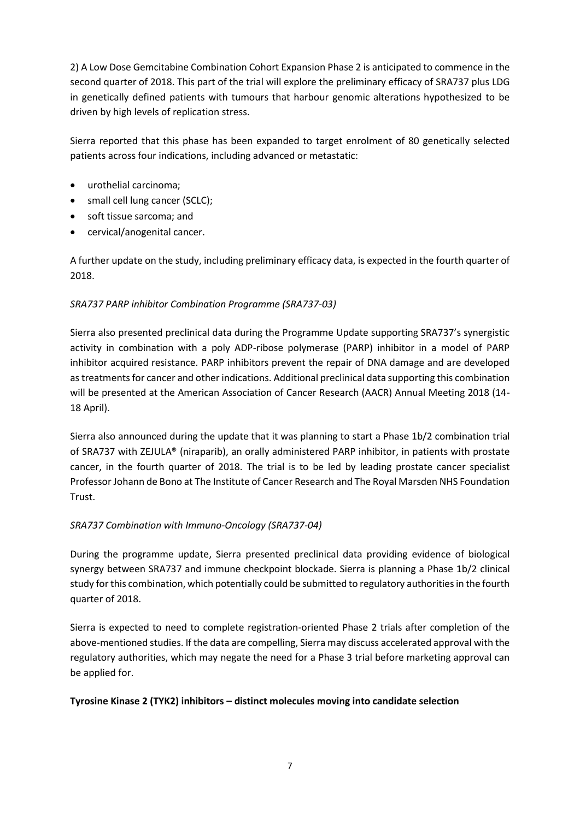2) A Low Dose Gemcitabine Combination Cohort Expansion Phase 2 is anticipated to commence in the second quarter of 2018. This part of the trial will explore the preliminary efficacy of SRA737 plus LDG in genetically defined patients with tumours that harbour genomic alterations hypothesized to be driven by high levels of replication stress.

Sierra reported that this phase has been expanded to target enrolment of 80 genetically selected patients across four indications, including advanced or metastatic:

- urothelial carcinoma;
- small cell lung cancer (SCLC);
- soft tissue sarcoma; and
- cervical/anogenital cancer.

A further update on the study, including preliminary efficacy data, is expected in the fourth quarter of 2018.

## *SRA737 PARP inhibitor Combination Programme (SRA737-03)*

Sierra also presented preclinical data during the Programme Update supporting SRA737's synergistic activity in combination with a poly ADP-ribose polymerase (PARP) inhibitor in a model of PARP inhibitor acquired resistance. PARP inhibitors prevent the repair of DNA damage and are developed as treatments for cancer and other indications. Additional preclinical data supporting this combination will be presented at the American Association of Cancer Research (AACR) Annual Meeting 2018 (14- 18 April).

Sierra also announced during the update that it was planning to start a Phase 1b/2 combination trial of SRA737 with ZEJULA® (niraparib), an orally administered PARP inhibitor, in patients with prostate cancer, in the fourth quarter of 2018. The trial is to be led by leading prostate cancer specialist Professor Johann de Bono at The Institute of Cancer Research and The Royal Marsden NHS Foundation Trust.

## *SRA737 Combination with Immuno-Oncology (SRA737-04)*

During the programme update, Sierra presented preclinical data providing evidence of biological synergy between SRA737 and immune checkpoint blockade. Sierra is planning a Phase 1b/2 clinical study for this combination, which potentially could be submitted to regulatory authorities in the fourth quarter of 2018.

Sierra is expected to need to complete registration-oriented Phase 2 trials after completion of the above-mentioned studies. If the data are compelling, Sierra may discuss accelerated approval with the regulatory authorities, which may negate the need for a Phase 3 trial before marketing approval can be applied for.

## **Tyrosine Kinase 2 (TYK2) inhibitors – distinct molecules moving into candidate selection**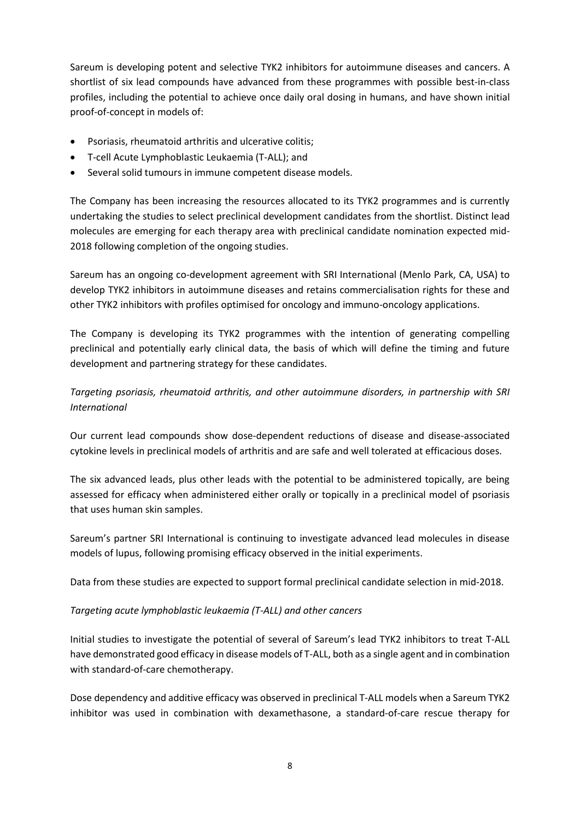Sareum is developing potent and selective TYK2 inhibitors for autoimmune diseases and cancers. A shortlist of six lead compounds have advanced from these programmes with possible best-in-class profiles, including the potential to achieve once daily oral dosing in humans, and have shown initial proof-of-concept in models of:

- Psoriasis, rheumatoid arthritis and ulcerative colitis;
- T-cell Acute Lymphoblastic Leukaemia (T-ALL); and
- Several solid tumours in immune competent disease models.

The Company has been increasing the resources allocated to its TYK2 programmes and is currently undertaking the studies to select preclinical development candidates from the shortlist. Distinct lead molecules are emerging for each therapy area with preclinical candidate nomination expected mid-2018 following completion of the ongoing studies.

Sareum has an ongoing co-development agreement with SRI International (Menlo Park, CA, USA) to develop TYK2 inhibitors in autoimmune diseases and retains commercialisation rights for these and other TYK2 inhibitors with profiles optimised for oncology and immuno-oncology applications.

The Company is developing its TYK2 programmes with the intention of generating compelling preclinical and potentially early clinical data, the basis of which will define the timing and future development and partnering strategy for these candidates.

*Targeting psoriasis, rheumatoid arthritis, and other autoimmune disorders, in partnership with SRI International*

Our current lead compounds show dose-dependent reductions of disease and disease-associated cytokine levels in preclinical models of arthritis and are safe and well tolerated at efficacious doses.

The six advanced leads, plus other leads with the potential to be administered topically, are being assessed for efficacy when administered either orally or topically in a preclinical model of psoriasis that uses human skin samples.

Sareum's partner SRI International is continuing to investigate advanced lead molecules in disease models of lupus, following promising efficacy observed in the initial experiments.

Data from these studies are expected to support formal preclinical candidate selection in mid-2018.

## *Targeting acute lymphoblastic leukaemia (T-ALL) and other cancers*

Initial studies to investigate the potential of several of Sareum's lead TYK2 inhibitors to treat T-ALL have demonstrated good efficacy in disease models of T-ALL, both as a single agent and in combination with standard-of-care chemotherapy.

Dose dependency and additive efficacy was observed in preclinical T-ALL models when a Sareum TYK2 inhibitor was used in combination with dexamethasone, a standard-of-care rescue therapy for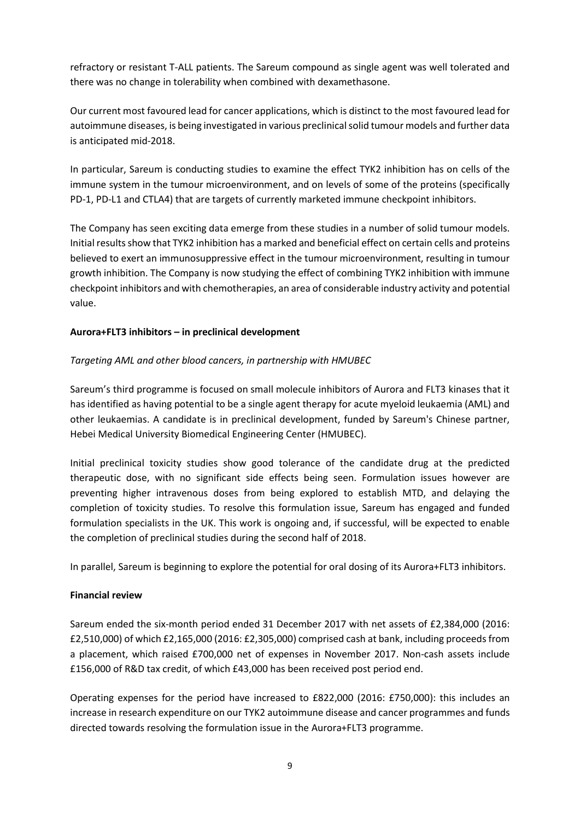refractory or resistant T-ALL patients. The Sareum compound as single agent was well tolerated and there was no change in tolerability when combined with dexamethasone.

Our current most favoured lead for cancer applications, which is distinct to the most favoured lead for autoimmune diseases, is being investigated in various preclinical solid tumour models and further data is anticipated mid-2018.

In particular, Sareum is conducting studies to examine the effect TYK2 inhibition has on cells of the immune system in the tumour microenvironment, and on levels of some of the proteins (specifically PD-1, PD-L1 and CTLA4) that are targets of currently marketed immune checkpoint inhibitors.

The Company has seen exciting data emerge from these studies in a number of solid tumour models. Initial results show that TYK2 inhibition has a marked and beneficial effect on certain cells and proteins believed to exert an immunosuppressive effect in the tumour microenvironment, resulting in tumour growth inhibition. The Company is now studying the effect of combining TYK2 inhibition with immune checkpoint inhibitors and with chemotherapies, an area of considerable industry activity and potential value.

## **Aurora+FLT3 inhibitors – in preclinical development**

## *Targeting AML and other blood cancers, in partnership with HMUBEC*

Sareum's third programme is focused on small molecule inhibitors of Aurora and FLT3 kinases that it has identified as having potential to be a single agent therapy for acute myeloid leukaemia (AML) and other leukaemias. A candidate is in preclinical development, funded by Sareum's Chinese partner, Hebei Medical University Biomedical Engineering Center (HMUBEC).

Initial preclinical toxicity studies show good tolerance of the candidate drug at the predicted therapeutic dose, with no significant side effects being seen. Formulation issues however are preventing higher intravenous doses from being explored to establish MTD, and delaying the completion of toxicity studies. To resolve this formulation issue, Sareum has engaged and funded formulation specialists in the UK. This work is ongoing and, if successful, will be expected to enable the completion of preclinical studies during the second half of 2018.

In parallel, Sareum is beginning to explore the potential for oral dosing of its Aurora+FLT3 inhibitors.

## **Financial review**

Sareum ended the six-month period ended 31 December 2017 with net assets of £2,384,000 (2016: £2,510,000) of which £2,165,000 (2016: £2,305,000) comprised cash at bank, including proceeds from a placement, which raised £700,000 net of expenses in November 2017. Non-cash assets include £156,000 of R&D tax credit, of which £43,000 has been received post period end.

Operating expenses for the period have increased to £822,000 (2016: £750,000): this includes an increase in research expenditure on our TYK2 autoimmune disease and cancer programmes and funds directed towards resolving the formulation issue in the Aurora+FLT3 programme.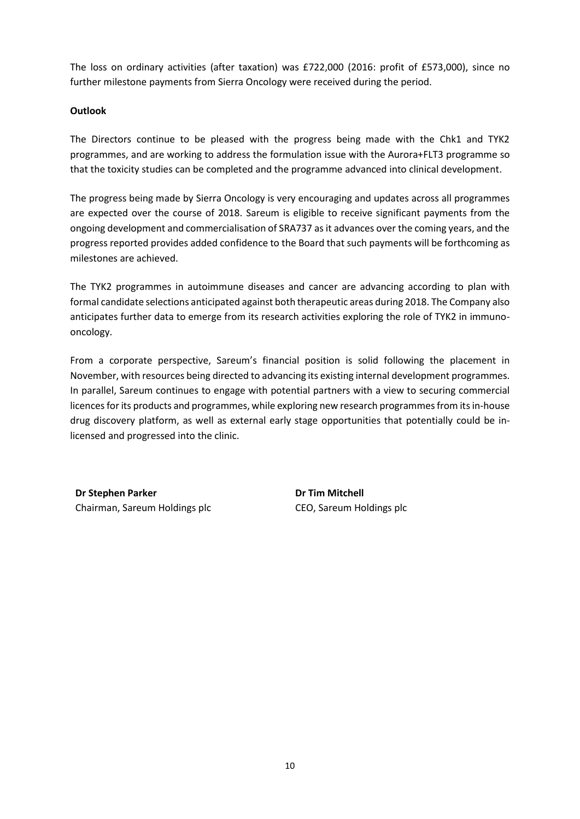The loss on ordinary activities (after taxation) was £722,000 (2016: profit of £573,000), since no further milestone payments from Sierra Oncology were received during the period.

#### **Outlook**

The Directors continue to be pleased with the progress being made with the Chk1 and TYK2 programmes, and are working to address the formulation issue with the Aurora+FLT3 programme so that the toxicity studies can be completed and the programme advanced into clinical development.

The progress being made by Sierra Oncology is very encouraging and updates across all programmes are expected over the course of 2018. Sareum is eligible to receive significant payments from the ongoing development and commercialisation of SRA737 as it advances over the coming years, and the progress reported provides added confidence to the Board that such payments will be forthcoming as milestones are achieved.

The TYK2 programmes in autoimmune diseases and cancer are advancing according to plan with formal candidate selections anticipated against both therapeutic areas during 2018. The Company also anticipates further data to emerge from its research activities exploring the role of TYK2 in immunooncology.

From a corporate perspective, Sareum's financial position is solid following the placement in November, with resources being directed to advancing its existing internal development programmes. In parallel, Sareum continues to engage with potential partners with a view to securing commercial licences for its products and programmes, while exploring new research programmes from its in-house drug discovery platform, as well as external early stage opportunities that potentially could be inlicensed and progressed into the clinic.

**Dr Stephen Parker** Chairman, Sareum Holdings plc **Dr Tim Mitchell** CEO, Sareum Holdings plc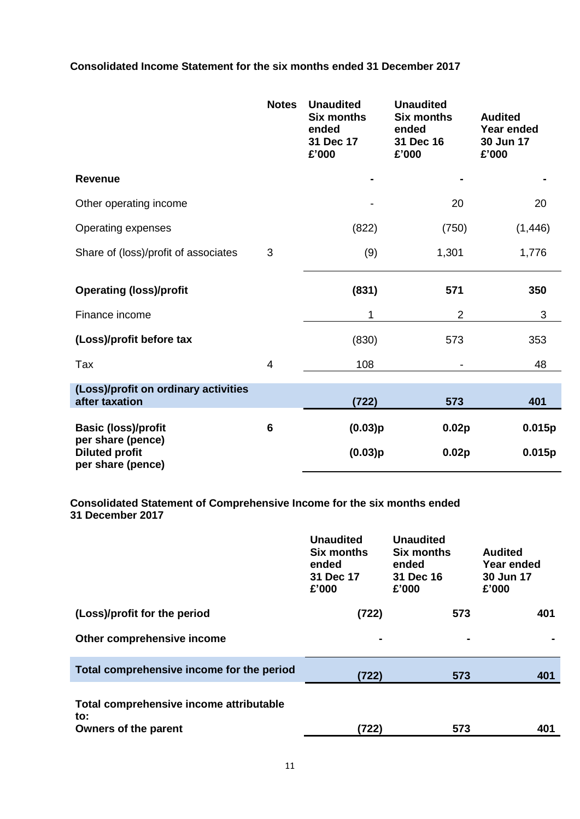**Consolidated Income Statement for the six months ended 31 December 2017**

|                                                                 | <b>Notes</b> | <b>Unaudited</b><br><b>Six months</b><br>ended<br>31 Dec 17<br>£'000 | <b>Unaudited</b><br><b>Six months</b><br>ended<br>31 Dec 16<br>£'000 | <b>Audited</b><br>Year ended<br>30 Jun 17<br>£'000 |
|-----------------------------------------------------------------|--------------|----------------------------------------------------------------------|----------------------------------------------------------------------|----------------------------------------------------|
| <b>Revenue</b>                                                  |              |                                                                      |                                                                      |                                                    |
| Other operating income                                          |              |                                                                      | 20                                                                   | 20                                                 |
| Operating expenses                                              |              | (822)                                                                | (750)                                                                | (1, 446)                                           |
| Share of (loss)/profit of associates                            | 3            | (9)                                                                  | 1,301                                                                | 1,776                                              |
| <b>Operating (loss)/profit</b>                                  |              | (831)                                                                | 571                                                                  | 350                                                |
| Finance income                                                  |              | 1                                                                    | $\overline{2}$                                                       | 3                                                  |
| (Loss)/profit before tax                                        |              | (830)                                                                | 573                                                                  | 353                                                |
| Tax                                                             | 4            | 108                                                                  |                                                                      | 48                                                 |
| (Loss)/profit on ordinary activities<br>after taxation          |              | (722)                                                                | 573                                                                  | 401                                                |
| <b>Basic (loss)/profit</b>                                      | 6            | (0.03)p                                                              | 0.02p                                                                | 0.015p                                             |
| per share (pence)<br><b>Diluted profit</b><br>per share (pence) |              | (0.03)p                                                              | 0.02p                                                                | 0.015p                                             |

**Consolidated Statement of Comprehensive Income for the six months ended 31 December 2017**

|                                                                               | <b>Unaudited</b><br><b>Six months</b><br>ended<br>31 Dec 17<br>£'000 | <b>Unaudited</b><br><b>Six months</b><br>ended<br>31 Dec 16<br>£'000 | <b>Audited</b><br>Year ended<br>30 Jun 17<br>£'000 |
|-------------------------------------------------------------------------------|----------------------------------------------------------------------|----------------------------------------------------------------------|----------------------------------------------------|
| (Loss)/profit for the period                                                  | (722)                                                                | 573                                                                  | 401                                                |
| Other comprehensive income                                                    |                                                                      | ۰                                                                    |                                                    |
| Total comprehensive income for the period                                     | (722)                                                                | 573                                                                  | 401                                                |
| Total comprehensive income attributable<br>to:<br><b>Owners of the parent</b> | (722)                                                                | 573                                                                  | 401                                                |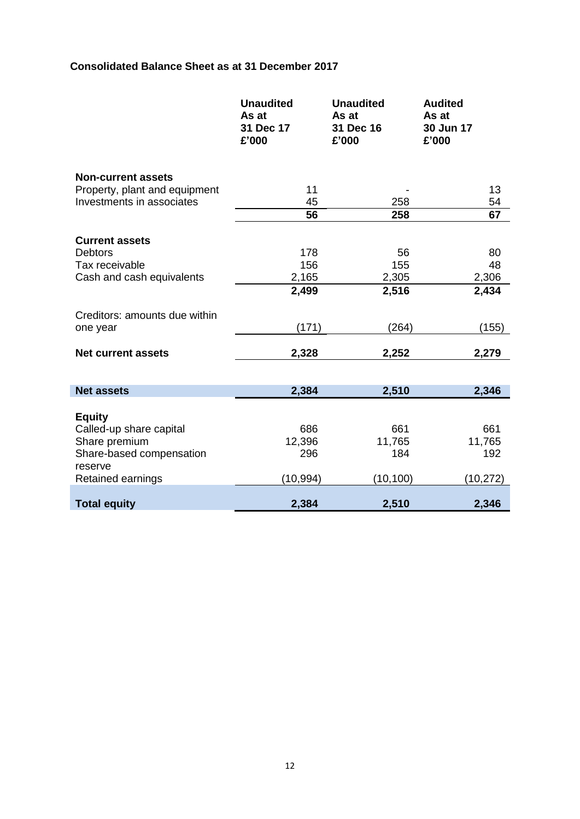# **Consolidated Balance Sheet as at 31 December 2017**

|                                                                                                                       | <b>Unaudited</b><br>As at<br>31 Dec 17<br>£'000 | <b>Unaudited</b><br>As at<br>31 Dec 16<br>£'000 | <b>Audited</b><br>As at<br>30 Jun 17<br>£'000 |
|-----------------------------------------------------------------------------------------------------------------------|-------------------------------------------------|-------------------------------------------------|-----------------------------------------------|
| <b>Non-current assets</b><br>Property, plant and equipment                                                            | 11                                              |                                                 | 13                                            |
| Investments in associates                                                                                             | 45                                              | 258                                             | 54                                            |
|                                                                                                                       | 56                                              | 258                                             | 67                                            |
| <b>Current assets</b><br><b>Debtors</b>                                                                               | 178                                             | 56                                              | 80                                            |
| Tax receivable                                                                                                        | 156                                             | 155                                             | 48                                            |
| Cash and cash equivalents                                                                                             | 2,165                                           | 2,305                                           | 2,306                                         |
|                                                                                                                       | 2,499                                           | 2,516                                           | 2,434                                         |
| Creditors: amounts due within<br>one year                                                                             | (171)                                           | (264)                                           | (155)                                         |
| <b>Net current assets</b>                                                                                             | 2,328                                           | 2,252                                           | 2,279                                         |
| <b>Net assets</b>                                                                                                     | 2,384                                           | 2,510                                           | 2,346                                         |
|                                                                                                                       |                                                 |                                                 |                                               |
| <b>Equity</b><br>Called-up share capital<br>Share premium<br>Share-based compensation<br>reserve<br>Retained earnings | 686<br>12,396<br>296<br>(10, 994)               | 661<br>11,765<br>184<br>(10, 100)               | 661<br>11,765<br>192<br>(10, 272)             |
| <b>Total equity</b>                                                                                                   | 2,384                                           | 2,510                                           | 2,346                                         |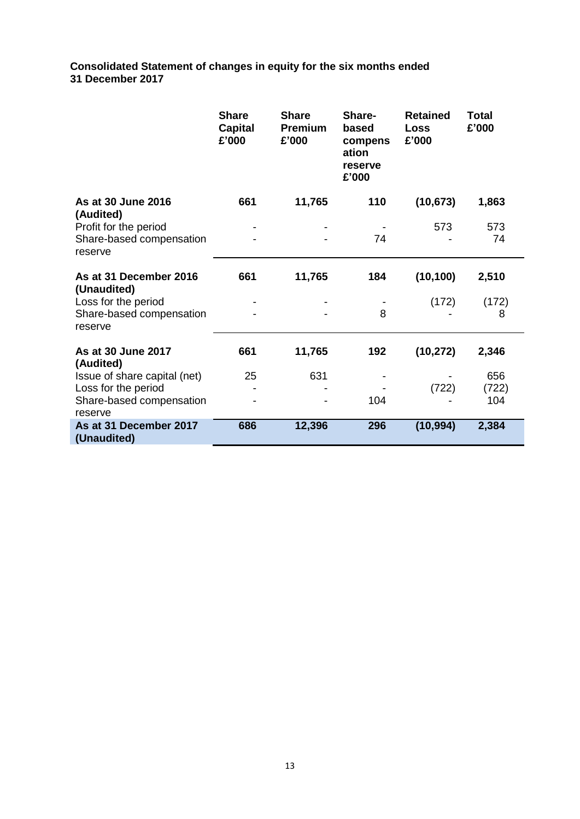**Consolidated Statement of changes in equity for the six months ended 31 December 2017**

|                                                              | <b>Share</b><br><b>Capital</b><br>£'000 | <b>Share</b><br><b>Premium</b><br>£'000 | Share-<br>based<br>compens<br>ation<br>reserve<br>£'000 | <b>Retained</b><br><b>Loss</b><br>£'000 | <b>Total</b><br>£'000 |
|--------------------------------------------------------------|-----------------------------------------|-----------------------------------------|---------------------------------------------------------|-----------------------------------------|-----------------------|
| As at 30 June 2016<br>(Audited)                              | 661                                     | 11,765                                  | 110                                                     | (10, 673)                               | 1,863                 |
| Profit for the period<br>Share-based compensation<br>reserve |                                         |                                         | 74                                                      | 573                                     | 573<br>74             |
| As at 31 December 2016<br>(Unaudited)                        | 661                                     | 11,765                                  | 184                                                     | (10, 100)                               | 2,510                 |
| Loss for the period<br>Share-based compensation<br>reserve   |                                         |                                         | 8                                                       | (172)                                   | (172)<br>8            |
| As at 30 June 2017<br>(Audited)                              | 661                                     | 11,765                                  | 192                                                     | (10, 272)                               | 2,346                 |
| Issue of share capital (net)                                 | 25                                      | 631                                     |                                                         |                                         | 656                   |
| Loss for the period<br>Share-based compensation<br>reserve   |                                         |                                         | 104                                                     | (722)                                   | (722)<br>104          |
| As at 31 December 2017<br>(Unaudited)                        | 686                                     | 12,396                                  | 296                                                     | (10, 994)                               | 2,384                 |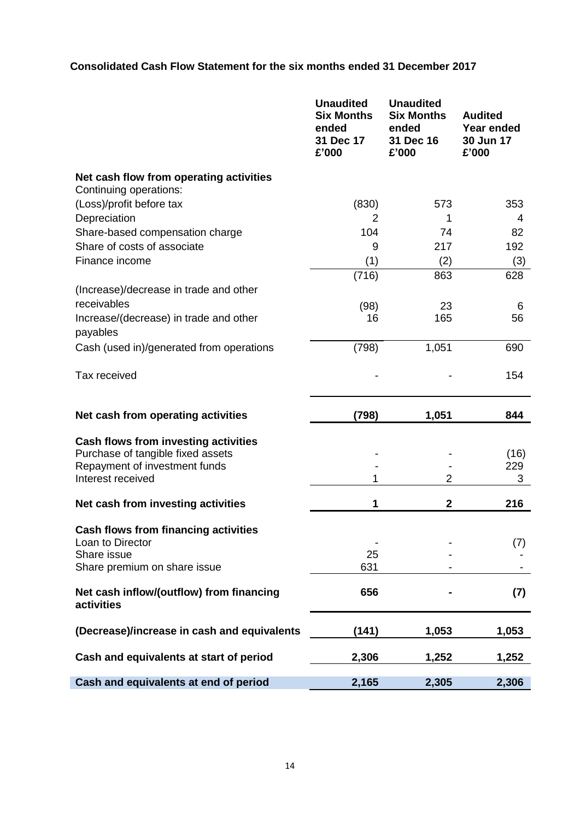# **Consolidated Cash Flow Statement for the six months ended 31 December 2017**

|                                                                                  | <b>Unaudited</b><br><b>Six Months</b><br>ended<br>31 Dec 17<br>£'000 | <b>Unaudited</b><br><b>Six Months</b><br>ended<br>31 Dec 16<br>£'000 | <b>Audited</b><br><b>Year ended</b><br>30 Jun 17<br>£'000 |
|----------------------------------------------------------------------------------|----------------------------------------------------------------------|----------------------------------------------------------------------|-----------------------------------------------------------|
| Net cash flow from operating activities<br>Continuing operations:                |                                                                      |                                                                      |                                                           |
| (Loss)/profit before tax                                                         | (830)                                                                | 573                                                                  | 353                                                       |
| Depreciation                                                                     | 2                                                                    | 1                                                                    | 4                                                         |
| Share-based compensation charge<br>Share of costs of associate                   | 104                                                                  | 74                                                                   | 82                                                        |
| Finance income                                                                   | 9<br>(1)                                                             | 217<br>(2)                                                           | 192<br>(3)                                                |
|                                                                                  | (716)                                                                | 863                                                                  | 628                                                       |
| (Increase)/decrease in trade and other                                           |                                                                      |                                                                      |                                                           |
| receivables                                                                      | (98)                                                                 | 23                                                                   | 6                                                         |
| Increase/(decrease) in trade and other<br>payables                               | 16                                                                   | 165                                                                  | 56                                                        |
| Cash (used in)/generated from operations                                         | (798)                                                                | 1,051                                                                | 690                                                       |
| Tax received                                                                     |                                                                      |                                                                      | 154                                                       |
| Net cash from operating activities                                               | (798)                                                                | 1,051                                                                | 844                                                       |
| <b>Cash flows from investing activities</b><br>Purchase of tangible fixed assets |                                                                      |                                                                      | (16)                                                      |
| Repayment of investment funds                                                    |                                                                      |                                                                      | 229                                                       |
| Interest received                                                                | 1                                                                    | 2                                                                    | 3                                                         |
| Net cash from investing activities                                               | 1                                                                    | $\mathbf{2}$                                                         | 216                                                       |
|                                                                                  |                                                                      |                                                                      |                                                           |
| <b>Cash flows from financing activities</b><br>Loan to Director                  |                                                                      |                                                                      | (7)                                                       |
| Share issue                                                                      | 25                                                                   |                                                                      |                                                           |
| Share premium on share issue                                                     | 631                                                                  |                                                                      |                                                           |
| Net cash inflow/(outflow) from financing<br>activities                           | 656                                                                  |                                                                      | (7)                                                       |
| (Decrease)/increase in cash and equivalents                                      | (141)                                                                | 1,053                                                                | 1,053                                                     |
| Cash and equivalents at start of period                                          | 2,306                                                                | 1,252                                                                | 1,252                                                     |
| Cash and equivalents at end of period                                            | 2,165                                                                | 2,305                                                                | 2,306                                                     |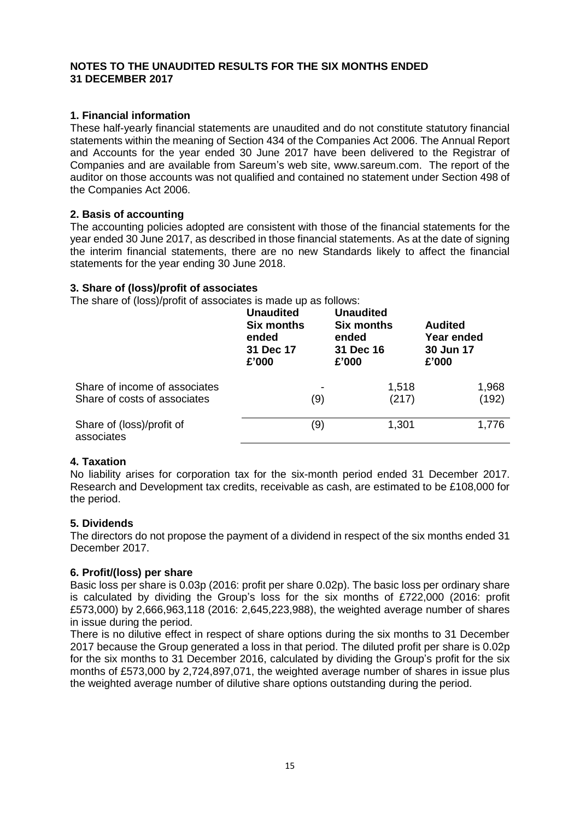#### **NOTES TO THE UNAUDITED RESULTS FOR THE SIX MONTHS ENDED 31 DECEMBER 2017**

# **1. Financial information**

These half-yearly financial statements are unaudited and do not constitute statutory financial statements within the meaning of Section 434 of the Companies Act 2006. The Annual Report and Accounts for the year ended 30 June 2017 have been delivered to the Registrar of Companies and are available from Sareum's web site, www.sareum.com. The report of the auditor on those accounts was not qualified and contained no statement under Section 498 of the Companies Act 2006.

## **2. Basis of accounting**

The accounting policies adopted are consistent with those of the financial statements for the year ended 30 June 2017, as described in those financial statements. As at the date of signing the interim financial statements, there are no new Standards likely to affect the financial statements for the year ending 30 June 2018.

## **3. Share of (loss)/profit of associates**

The share of (loss)/profit of associates is made up as follows:

|                                                               | <b>Unaudited</b><br><b>Six months</b><br>ended<br>31 Dec 17<br>£'000 | <b>Unaudited</b><br><b>Six months</b><br>ended<br>31 Dec 16<br>£'000 | <b>Audited</b><br>Year ended<br>30 Jun 17<br>£'000 |
|---------------------------------------------------------------|----------------------------------------------------------------------|----------------------------------------------------------------------|----------------------------------------------------|
| Share of income of associates<br>Share of costs of associates | (9)                                                                  | 1,518<br>(217)                                                       | 1,968<br>(192)                                     |
|                                                               |                                                                      |                                                                      |                                                    |
| Share of (loss)/profit of<br>associates                       | (9)                                                                  | 1,301                                                                | 1,776                                              |

## **4. Taxation**

No liability arises for corporation tax for the six-month period ended 31 December 2017. Research and Development tax credits, receivable as cash, are estimated to be £108,000 for the period.

## **5. Dividends**

The directors do not propose the payment of a dividend in respect of the six months ended 31 December 2017.

## **6. Profit/(loss) per share**

Basic loss per share is 0.03p (2016: profit per share 0.02p). The basic loss per ordinary share is calculated by dividing the Group's loss for the six months of £722,000 (2016: profit £573,000) by 2,666,963,118 (2016: 2,645,223,988), the weighted average number of shares in issue during the period.

There is no dilutive effect in respect of share options during the six months to 31 December 2017 because the Group generated a loss in that period. The diluted profit per share is 0.02p for the six months to 31 December 2016, calculated by dividing the Group's profit for the six months of £573,000 by 2,724,897,071, the weighted average number of shares in issue plus the weighted average number of dilutive share options outstanding during the period.